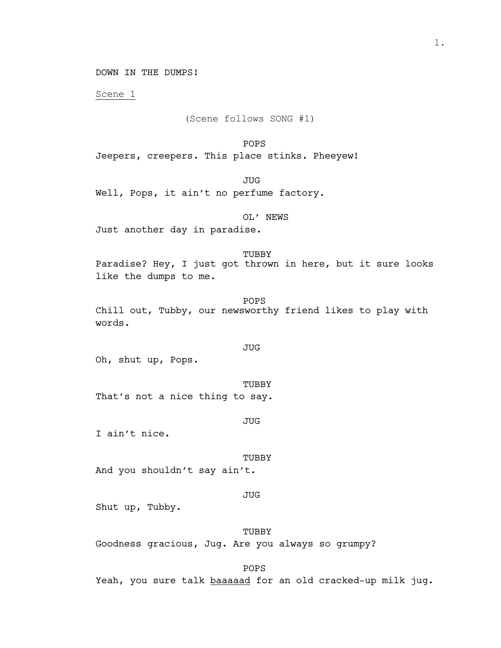DOWN IN THE DUMPS!

Scene 1

(Scene follows SONG #1)

POPS

Jeepers, creepers. This place stinks. Pheeyew!

JUG

Well, Pops, it ain't no perfume factory.

OL' NEWS Just another day in paradise.

TUBBY Paradise? Hey, I just got thrown in here, but it sure looks like the dumps to me.

POPS Chill out, Tubby, our newsworthy friend likes to play with words.

Oh, shut up, Pops.

TUBBY That's not a nice thing to say.

JUG

JUG

I ain't nice.

TUBBY

And you shouldn't say ain't.

JUG

Shut up, Tubby.

## TUBBY

Goodness gracious, Jug. Are you always so grumpy?

POPS

Yeah, you sure talk baaaaad for an old cracked-up milk jug.